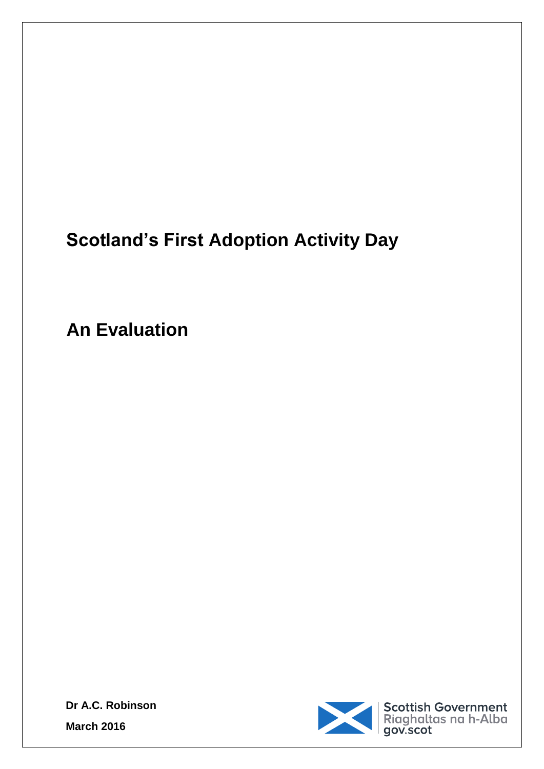## **Scotland's First Adoption Activity Day**

**An Evaluation** 



**Dr A.C. Robinson March 2016**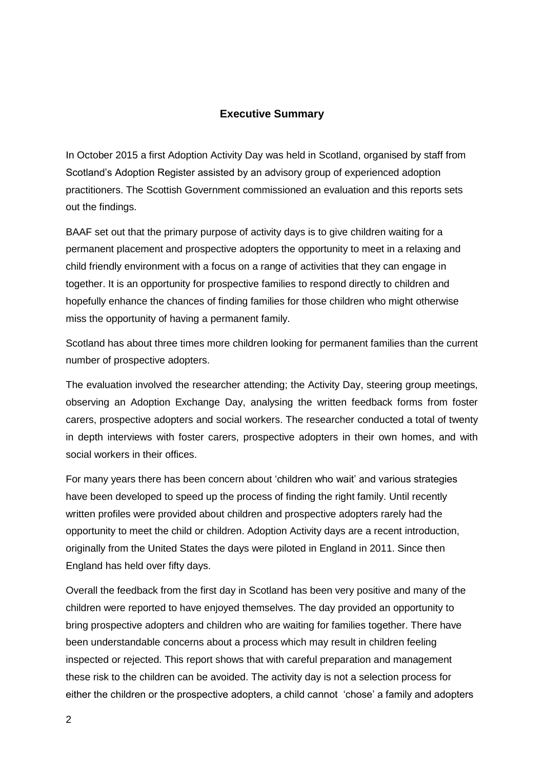#### **Executive Summary**

In October 2015 a first Adoption Activity Day was held in Scotland, organised by staff from Scotland's Adoption Register assisted by an advisory group of experienced adoption practitioners. The Scottish Government commissioned an evaluation and this reports sets out the findings.

BAAF set out that the primary purpose of activity days is to give children waiting for a permanent placement and prospective adopters the opportunity to meet in a relaxing and child friendly environment with a focus on a range of activities that they can engage in together. It is an opportunity for prospective families to respond directly to children and hopefully enhance the chances of finding families for those children who might otherwise miss the opportunity of having a permanent family.

Scotland has about three times more children looking for permanent families than the current number of prospective adopters.

The evaluation involved the researcher attending; the Activity Day, steering group meetings, observing an Adoption Exchange Day, analysing the written feedback forms from foster carers, prospective adopters and social workers. The researcher conducted a total of twenty in depth interviews with foster carers, prospective adopters in their own homes, and with social workers in their offices.

For many years there has been concern about 'children who wait' and various strategies have been developed to speed up the process of finding the right family. Until recently written profiles were provided about children and prospective adopters rarely had the opportunity to meet the child or children. Adoption Activity days are a recent introduction, originally from the United States the days were piloted in England in 2011. Since then England has held over fifty days.

Overall the feedback from the first day in Scotland has been very positive and many of the children were reported to have enjoyed themselves. The day provided an opportunity to bring prospective adopters and children who are waiting for families together. There have been understandable concerns about a process which may result in children feeling inspected or rejected. This report shows that with careful preparation and management these risk to the children can be avoided. The activity day is not a selection process for either the children or the prospective adopters, a child cannot 'chose' a family and adopters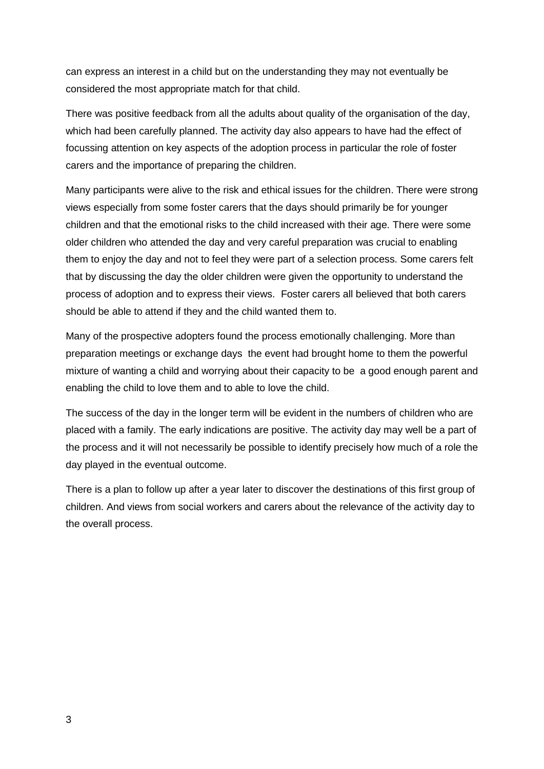can express an interest in a child but on the understanding they may not eventually be considered the most appropriate match for that child.

There was positive feedback from all the adults about quality of the organisation of the day, which had been carefully planned. The activity day also appears to have had the effect of focussing attention on key aspects of the adoption process in particular the role of foster carers and the importance of preparing the children.

Many participants were alive to the risk and ethical issues for the children. There were strong views especially from some foster carers that the days should primarily be for younger children and that the emotional risks to the child increased with their age. There were some older children who attended the day and very careful preparation was crucial to enabling them to enjoy the day and not to feel they were part of a selection process. Some carers felt that by discussing the day the older children were given the opportunity to understand the process of adoption and to express their views. Foster carers all believed that both carers should be able to attend if they and the child wanted them to.

Many of the prospective adopters found the process emotionally challenging. More than preparation meetings or exchange days the event had brought home to them the powerful mixture of wanting a child and worrying about their capacity to be a good enough parent and enabling the child to love them and to able to love the child.

The success of the day in the longer term will be evident in the numbers of children who are placed with a family. The early indications are positive. The activity day may well be a part of the process and it will not necessarily be possible to identify precisely how much of a role the day played in the eventual outcome.

There is a plan to follow up after a year later to discover the destinations of this first group of children. And views from social workers and carers about the relevance of the activity day to the overall process.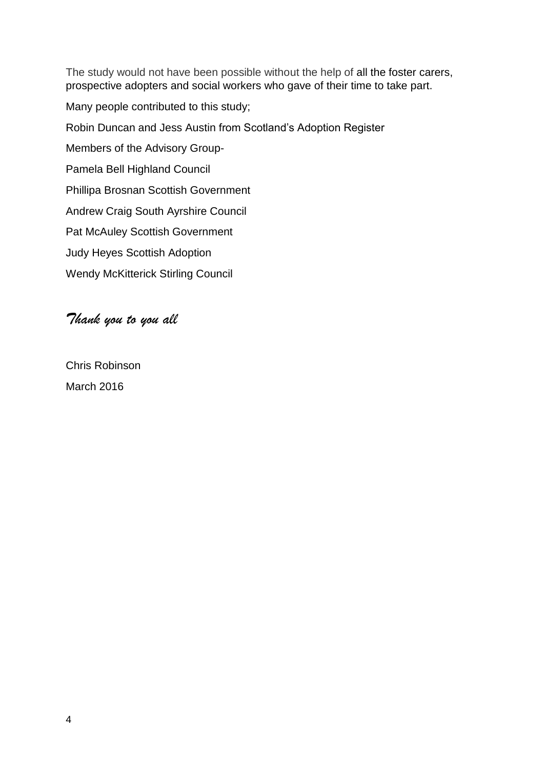The study would not have been possible without the help of all the foster carers, prospective adopters and social workers who gave of their time to take part.

Many people contributed to this study;

Robin Duncan and Jess Austin from Scotland's Adoption Register

Members of the Advisory Group-

Pamela Bell Highland Council

Phillipa Brosnan Scottish Government

Andrew Craig South Ayrshire Council

Pat McAuley Scottish Government

Judy Heyes Scottish Adoption

Wendy McKitterick Stirling Council

## *Thank you to you all*

Chris Robinson March 2016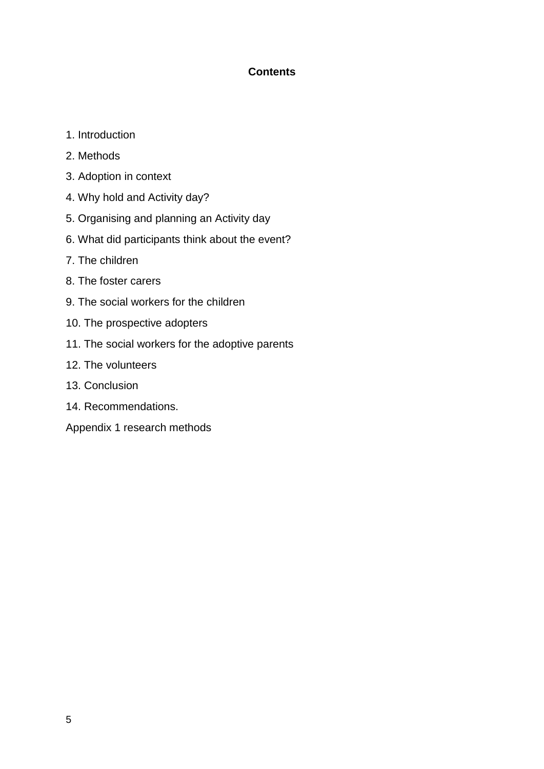### **Contents**

- 1. Introduction
- 2. Methods
- 3. Adoption in context
- 4. Why hold and Activity day?
- 5. Organising and planning an Activity day
- 6. What did participants think about the event?
- 7. The children
- 8. The foster carers
- 9. The social workers for the children
- 10. The prospective adopters
- 11. The social workers for the adoptive parents
- 12. The volunteers
- 13. Conclusion
- 14. Recommendations.
- Appendix 1 research methods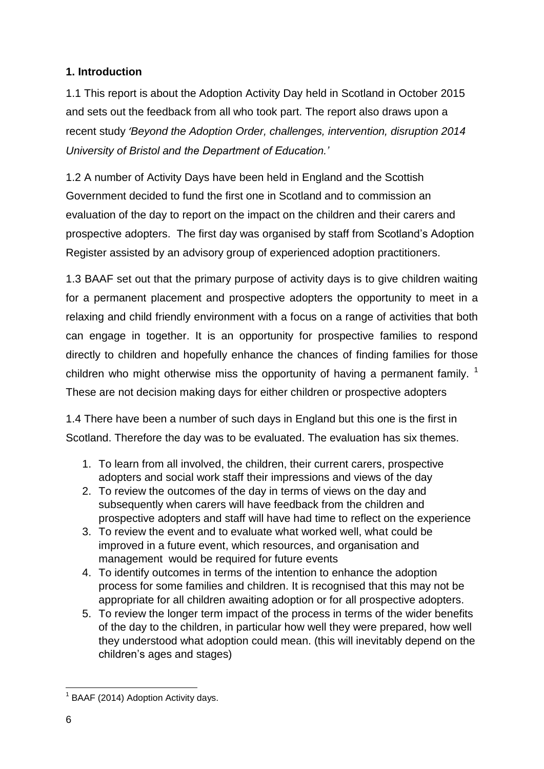## **1. Introduction**

1.1 This report is about the Adoption Activity Day held in Scotland in October 2015 and sets out the feedback from all who took part. The report also draws upon a recent study *'Beyond the Adoption Order, challenges, intervention, disruption 2014 University of Bristol and the Department of Education.'*

1.2 A number of Activity Days have been held in England and the Scottish Government decided to fund the first one in Scotland and to commission an evaluation of the day to report on the impact on the children and their carers and prospective adopters. The first day was organised by staff from Scotland's Adoption Register assisted by an advisory group of experienced adoption practitioners.

1.3 BAAF set out that the primary purpose of activity days is to give children waiting for a permanent placement and prospective adopters the opportunity to meet in a relaxing and child friendly environment with a focus on a range of activities that both can engage in together. It is an opportunity for prospective families to respond directly to children and hopefully enhance the chances of finding families for those children who might otherwise miss the opportunity of having a permanent family.  $1$ These are not decision making days for either children or prospective adopters

1.4 There have been a number of such days in England but this one is the first in Scotland. Therefore the day was to be evaluated. The evaluation has six themes.

- 1. To learn from all involved, the children, their current carers, prospective adopters and social work staff their impressions and views of the day
- 2. To review the outcomes of the day in terms of views on the day and subsequently when carers will have feedback from the children and prospective adopters and staff will have had time to reflect on the experience
- 3. To review the event and to evaluate what worked well, what could be improved in a future event, which resources, and organisation and management would be required for future events
- 4. To identify outcomes in terms of the intention to enhance the adoption process for some families and children. It is recognised that this may not be appropriate for all children awaiting adoption or for all prospective adopters.
- 5. To review the longer term impact of the process in terms of the wider benefits of the day to the children, in particular how well they were prepared, how well they understood what adoption could mean. (this will inevitably depend on the children's ages and stages)

<sup>&</sup>lt;sup>1</sup> BAAF (2014) Adoption Activity days.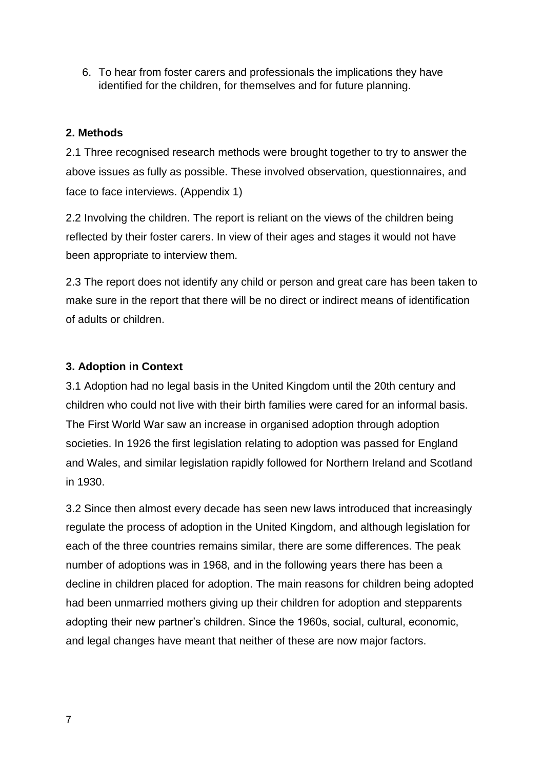6. To hear from foster carers and professionals the implications they have identified for the children, for themselves and for future planning.

## **2. Methods**

2.1 Three recognised research methods were brought together to try to answer the above issues as fully as possible. These involved observation, questionnaires, and face to face interviews. (Appendix 1)

2.2 Involving the children. The report is reliant on the views of the children being reflected by their foster carers. In view of their ages and stages it would not have been appropriate to interview them.

2.3 The report does not identify any child or person and great care has been taken to make sure in the report that there will be no direct or indirect means of identification of adults or children.

## **3. Adoption in Context**

3.1 Adoption had no legal basis in the United Kingdom until the 20th century and children who could not live with their birth families were cared for an informal basis. The First World War saw an increase in organised adoption through adoption societies. In 1926 the first legislation relating to adoption was passed for England and Wales, and similar legislation rapidly followed for Northern Ireland and Scotland in 1930.

3.2 Since then almost every decade has seen new laws introduced that increasingly regulate the process of adoption in the United Kingdom, and although legislation for each of the three countries remains similar, there are some differences. The peak number of adoptions was in 1968, and in the following years there has been a decline in children placed for adoption. The main reasons for children being adopted had been unmarried mothers giving up their children for adoption and stepparents adopting their new partner's children. Since the 1960s, social, cultural, economic, and legal changes have meant that neither of these are now major factors.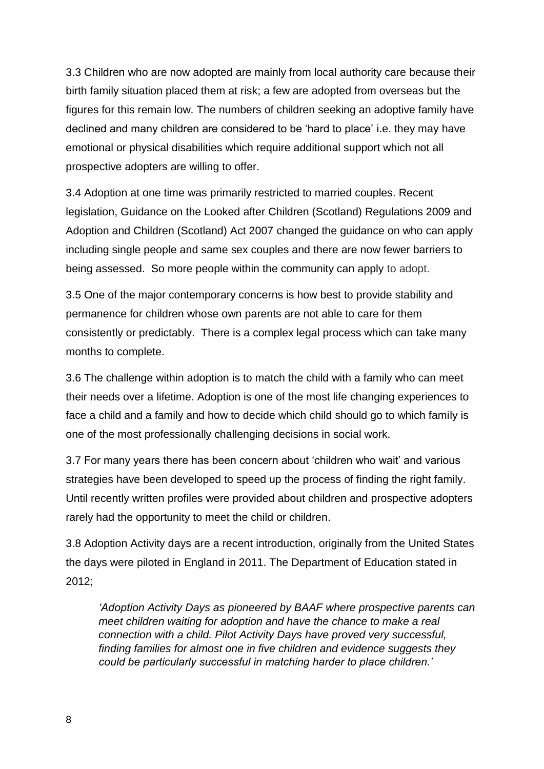3.3 Children who are now adopted are mainly from local authority care because their birth family situation placed them at risk; a few are adopted from overseas but the figures for this remain low. The numbers of children seeking an adoptive family have declined and many children are considered to be 'hard to place' i.e. they may have emotional or physical disabilities which require additional support which not all prospective adopters are willing to offer.

3.4 Adoption at one time was primarily restricted to married couples. Recent legislation, Guidance on the Looked after Children (Scotland) Regulations 2009 and Adoption and Children (Scotland) Act 2007 changed the guidance on who can apply including single people and same sex couples and there are now fewer barriers to being assessed. So more people within the community can apply to adopt.

3.5 One of the major contemporary concerns is how best to provide stability and permanence for children whose own parents are not able to care for them consistently or predictably. There is a complex legal process which can take many months to complete.

3.6 The challenge within adoption is to match the child with a family who can meet their needs over a lifetime. Adoption is one of the most life changing experiences to face a child and a family and how to decide which child should go to which family is one of the most professionally challenging decisions in social work.

3.7 For many years there has been concern about 'children who wait' and various strategies have been developed to speed up the process of finding the right family. Until recently written profiles were provided about children and prospective adopters rarely had the opportunity to meet the child or children.

3.8 Adoption Activity days are a recent introduction, originally from the United States the days were piloted in England in 2011. The Department of Education stated in 2012;

*'Adoption Activity Days as pioneered by BAAF where prospective parents can meet children waiting for adoption and have the chance to make a real connection with a child. Pilot Activity Days have proved very successful, finding families for almost one in five children and evidence suggests they could be particularly successful in matching harder to place children.'*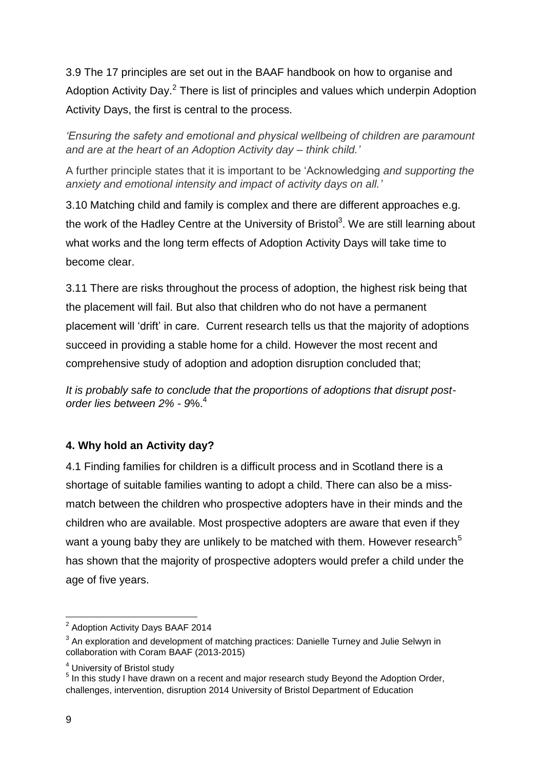3.9 The 17 principles are set out in the BAAF handbook on how to organise and Adoption Activity Day.<sup>2</sup> There is list of principles and values which underpin Adoption Activity Days, the first is central to the process.

*'Ensuring the safety and emotional and physical wellbeing of children are paramount and are at the heart of an Adoption Activity day – think child.'* 

A further principle states that it is important to be 'Acknowledging *and supporting the anxiety and emotional intensity and impact of activity days on all.'*

3.10 Matching child and family is complex and there are different approaches e.g. the work of the Hadley Centre at the University of Bristol<sup>3</sup>. We are still learning about what works and the long term effects of Adoption Activity Days will take time to become clear.

3.11 There are risks throughout the process of adoption, the highest risk being that the placement will fail. But also that children who do not have a permanent placement will 'drift' in care. Current research tells us that the majority of adoptions succeed in providing a stable home for a child. However the most recent and comprehensive study of adoption and adoption disruption concluded that;

*It is probably safe to conclude that the proportions of adoptions that disrupt postorder lies between 2% - 9*%.<sup>4</sup>

## **4. Why hold an Activity day?**

4.1 Finding families for children is a difficult process and in Scotland there is a shortage of suitable families wanting to adopt a child. There can also be a missmatch between the children who prospective adopters have in their minds and the children who are available. Most prospective adopters are aware that even if they want a young baby they are unlikely to be matched with them. However research<sup>5</sup> has shown that the majority of prospective adopters would prefer a child under the age of five years.

 $2$  Adoption Activity Days BAAF 2014

 $3$  An exploration and development of matching practices: Danielle Turney and Julie Selwyn in collaboration with Coram BAAF (2013-2015)

<sup>&</sup>lt;sup>4</sup> University of Bristol study

<sup>&</sup>lt;sup>5</sup> In this study I have drawn on a recent and major research study Beyond the Adoption Order, challenges, intervention, disruption 2014 University of Bristol Department of Education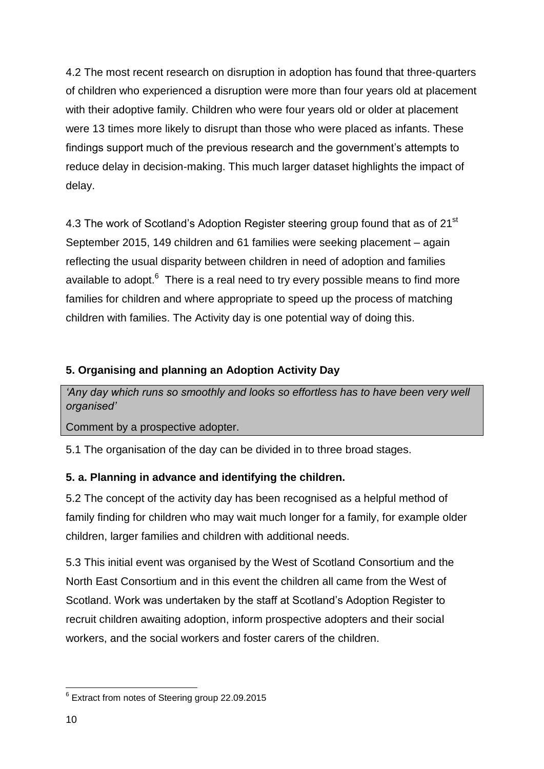4.2 The most recent research on disruption in adoption has found that three-quarters of children who experienced a disruption were more than four years old at placement with their adoptive family. Children who were four years old or older at placement were 13 times more likely to disrupt than those who were placed as infants. These findings support much of the previous research and the government's attempts to reduce delay in decision-making. This much larger dataset highlights the impact of delay.

4.3 The work of Scotland's Adoption Register steering group found that as of 21<sup>st</sup> September 2015, 149 children and 61 families were seeking placement – again reflecting the usual disparity between children in need of adoption and families available to adopt. $6$  There is a real need to try every possible means to find more families for children and where appropriate to speed up the process of matching children with families. The Activity day is one potential way of doing this.

## **5. Organising and planning an Adoption Activity Day**

*'Any day which runs so smoothly and looks so effortless has to have been very well organised'*

Comment by a prospective adopter.

5.1 The organisation of the day can be divided in to three broad stages.

## **5. a. Planning in advance and identifying the children.**

5.2 The concept of the activity day has been recognised as a helpful method of family finding for children who may wait much longer for a family, for example older children, larger families and children with additional needs.

5.3 This initial event was organised by the West of Scotland Consortium and the North East Consortium and in this event the children all came from the West of Scotland. Work was undertaken by the staff at Scotland's Adoption Register to recruit children awaiting adoption, inform prospective adopters and their social workers, and the social workers and foster carers of the children.

<sup>&</sup>lt;sup>6</sup> Extract from notes of Steering group 22.09.2015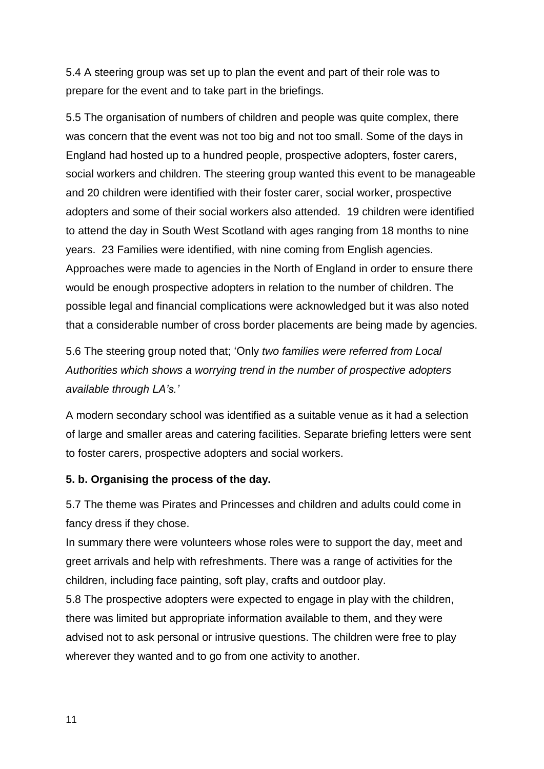5.4 A steering group was set up to plan the event and part of their role was to prepare for the event and to take part in the briefings.

5.5 The organisation of numbers of children and people was quite complex, there was concern that the event was not too big and not too small. Some of the days in England had hosted up to a hundred people, prospective adopters, foster carers, social workers and children. The steering group wanted this event to be manageable and 20 children were identified with their foster carer, social worker, prospective adopters and some of their social workers also attended. 19 children were identified to attend the day in South West Scotland with ages ranging from 18 months to nine years. 23 Families were identified, with nine coming from English agencies. Approaches were made to agencies in the North of England in order to ensure there would be enough prospective adopters in relation to the number of children. The possible legal and financial complications were acknowledged but it was also noted that a considerable number of cross border placements are being made by agencies.

5.6 The steering group noted that; 'Only *two families were referred from Local Authorities which shows a worrying trend in the number of prospective adopters available through LA's.'*

A modern secondary school was identified as a suitable venue as it had a selection of large and smaller areas and catering facilities. Separate briefing letters were sent to foster carers, prospective adopters and social workers.

#### **5. b. Organising the process of the day.**

5.7 The theme was Pirates and Princesses and children and adults could come in fancy dress if they chose.

In summary there were volunteers whose roles were to support the day, meet and greet arrivals and help with refreshments. There was a range of activities for the children, including face painting, soft play, crafts and outdoor play.

5.8 The prospective adopters were expected to engage in play with the children, there was limited but appropriate information available to them, and they were advised not to ask personal or intrusive questions. The children were free to play wherever they wanted and to go from one activity to another.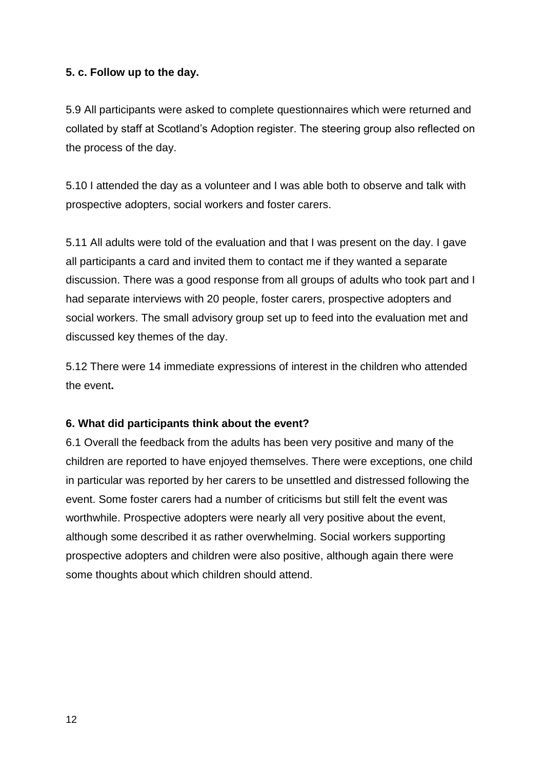### **5. c. Follow up to the day.**

5.9 All participants were asked to complete questionnaires which were returned and collated by staff at Scotland's Adoption register. The steering group also reflected on the process of the day.

5.10 I attended the day as a volunteer and I was able both to observe and talk with prospective adopters, social workers and foster carers.

5.11 All adults were told of the evaluation and that I was present on the day. I gave all participants a card and invited them to contact me if they wanted a separate discussion. There was a good response from all groups of adults who took part and I had separate interviews with 20 people, foster carers, prospective adopters and social workers. The small advisory group set up to feed into the evaluation met and discussed key themes of the day.

5.12 There were 14 immediate expressions of interest in the children who attended the event**.**

#### **6. What did participants think about the event?**

6.1 Overall the feedback from the adults has been very positive and many of the children are reported to have enjoyed themselves. There were exceptions, one child in particular was reported by her carers to be unsettled and distressed following the event. Some foster carers had a number of criticisms but still felt the event was worthwhile. Prospective adopters were nearly all very positive about the event, although some described it as rather overwhelming. Social workers supporting prospective adopters and children were also positive, although again there were some thoughts about which children should attend.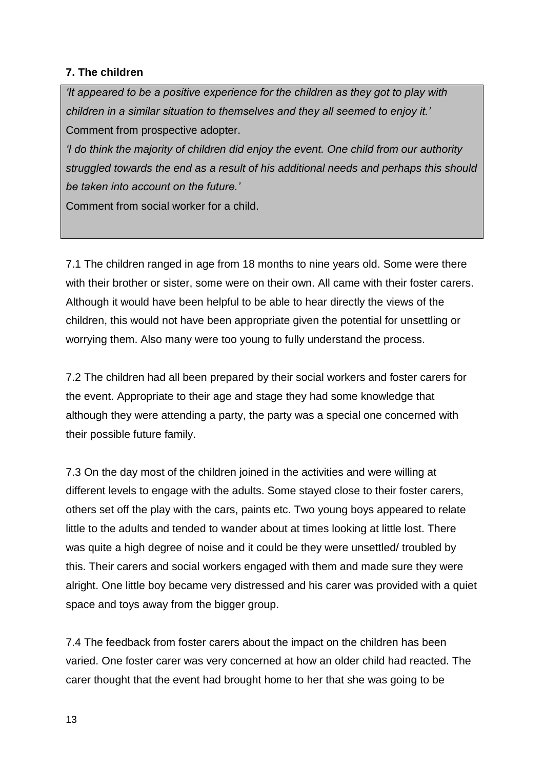### **7. The children**

*'It appeared to be a positive experience for the children as they got to play with children in a similar situation to themselves and they all seemed to enjoy it.'* Comment from prospective adopter.

*'I do think the majority of children did enjoy the event. One child from our authority struggled towards the end as a result of his additional needs and perhaps this should be taken into account on the future.'*

Comment from social worker for a child.

7.1 The children ranged in age from 18 months to nine years old. Some were there with their brother or sister, some were on their own. All came with their foster carers. Although it would have been helpful to be able to hear directly the views of the children, this would not have been appropriate given the potential for unsettling or worrying them. Also many were too young to fully understand the process.

7.2 The children had all been prepared by their social workers and foster carers for the event. Appropriate to their age and stage they had some knowledge that although they were attending a party, the party was a special one concerned with their possible future family.

7.3 On the day most of the children joined in the activities and were willing at different levels to engage with the adults. Some stayed close to their foster carers, others set off the play with the cars, paints etc. Two young boys appeared to relate little to the adults and tended to wander about at times looking at little lost. There was quite a high degree of noise and it could be they were unsettled/ troubled by this. Their carers and social workers engaged with them and made sure they were alright. One little boy became very distressed and his carer was provided with a quiet space and toys away from the bigger group.

7.4 The feedback from foster carers about the impact on the children has been varied. One foster carer was very concerned at how an older child had reacted. The carer thought that the event had brought home to her that she was going to be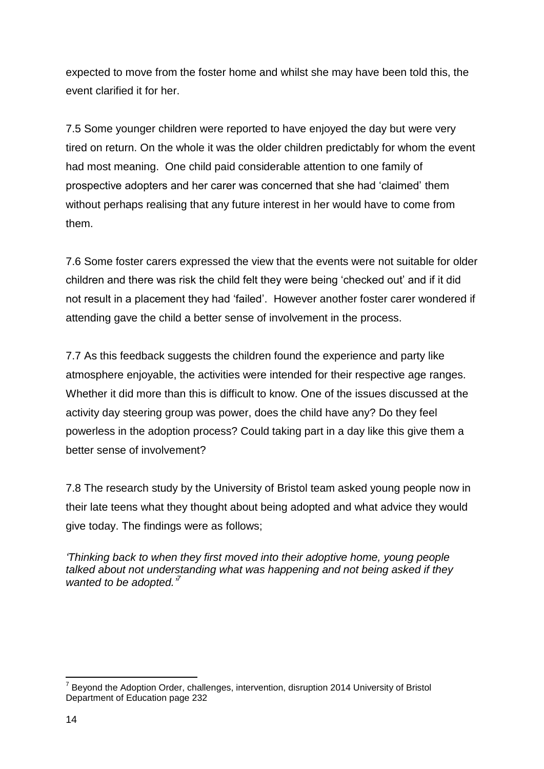expected to move from the foster home and whilst she may have been told this, the event clarified it for her.

7.5 Some younger children were reported to have enjoyed the day but were very tired on return. On the whole it was the older children predictably for whom the event had most meaning. One child paid considerable attention to one family of prospective adopters and her carer was concerned that she had 'claimed' them without perhaps realising that any future interest in her would have to come from them.

7.6 Some foster carers expressed the view that the events were not suitable for older children and there was risk the child felt they were being 'checked out' and if it did not result in a placement they had 'failed'. However another foster carer wondered if attending gave the child a better sense of involvement in the process.

7.7 As this feedback suggests the children found the experience and party like atmosphere enjoyable, the activities were intended for their respective age ranges. Whether it did more than this is difficult to know. One of the issues discussed at the activity day steering group was power, does the child have any? Do they feel powerless in the adoption process? Could taking part in a day like this give them a better sense of involvement?

7.8 The research study by the University of Bristol team asked young people now in their late teens what they thought about being adopted and what advice they would give today. The findings were as follows;

*'Thinking back to when they first moved into their adoptive home, young people talked about not understanding what was happening and not being asked if they wanted to be adopted.' 7*

**<sup>.</sup>** <sup>7</sup> Beyond the Adoption Order, challenges, intervention, disruption 2014 University of Bristol Department of Education page 232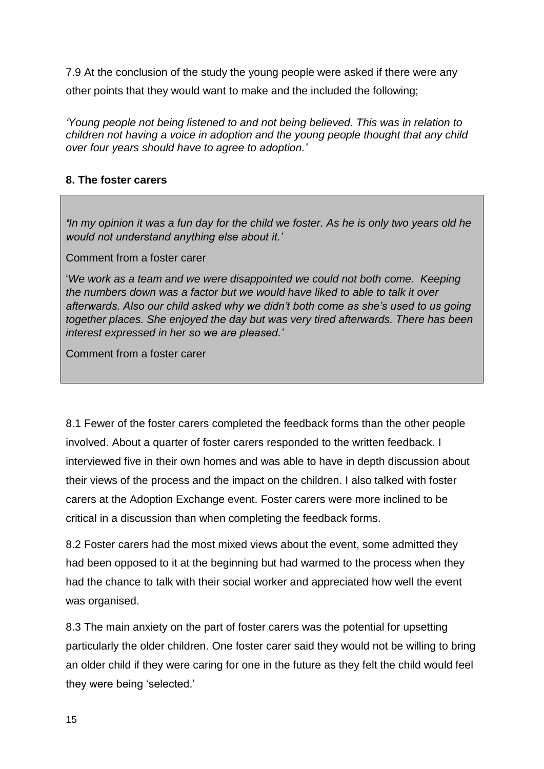7.9 At the conclusion of the study the young people were asked if there were any other points that they would want to make and the included the following;

*'Young people not being listened to and not being believed. This was in relation to children not having a voice in adoption and the young people thought that any child over four years should have to agree to adoption.'*

## **8. The foster carers**

*'In my opinion it was a fun day for the child we foster. As he is only two years old he would not understand anything else about it.'*

Comment from a foster carer

'*We work as a team and we were disappointed we could not both come. Keeping the numbers down was a factor but we would have liked to able to talk it over afterwards. Also our child asked why we didn't both come as she's used to us going together places. She enjoyed the day but was very tired afterwards. There has been interest expressed in her so we are pleased.'*

Comment from a foster carer

8.1 Fewer of the foster carers completed the feedback forms than the other people involved. About a quarter of foster carers responded to the written feedback. I interviewed five in their own homes and was able to have in depth discussion about their views of the process and the impact on the children. I also talked with foster carers at the Adoption Exchange event. Foster carers were more inclined to be critical in a discussion than when completing the feedback forms.

8.2 Foster carers had the most mixed views about the event, some admitted they had been opposed to it at the beginning but had warmed to the process when they had the chance to talk with their social worker and appreciated how well the event was organised.

8.3 The main anxiety on the part of foster carers was the potential for upsetting particularly the older children. One foster carer said they would not be willing to bring an older child if they were caring for one in the future as they felt the child would feel they were being 'selected.'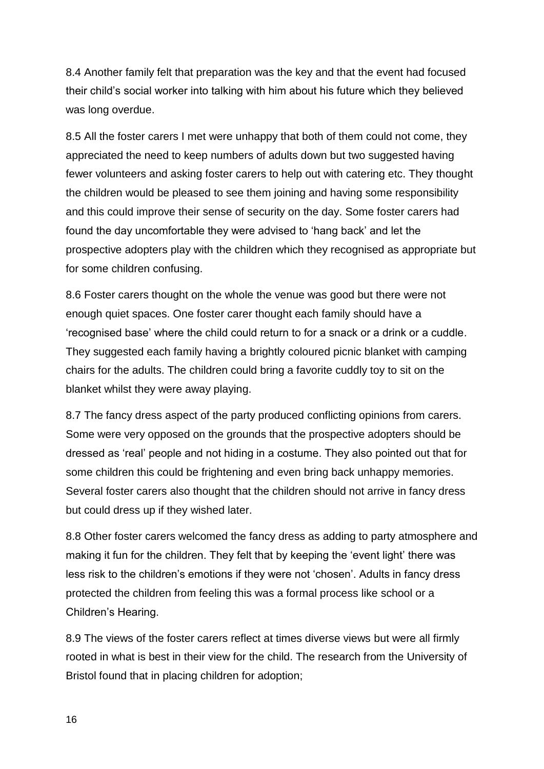8.4 Another family felt that preparation was the key and that the event had focused their child's social worker into talking with him about his future which they believed was long overdue.

8.5 All the foster carers I met were unhappy that both of them could not come, they appreciated the need to keep numbers of adults down but two suggested having fewer volunteers and asking foster carers to help out with catering etc. They thought the children would be pleased to see them joining and having some responsibility and this could improve their sense of security on the day. Some foster carers had found the day uncomfortable they were advised to 'hang back' and let the prospective adopters play with the children which they recognised as appropriate but for some children confusing.

8.6 Foster carers thought on the whole the venue was good but there were not enough quiet spaces. One foster carer thought each family should have a 'recognised base' where the child could return to for a snack or a drink or a cuddle. They suggested each family having a brightly coloured picnic blanket with camping chairs for the adults. The children could bring a favorite cuddly toy to sit on the blanket whilst they were away playing.

8.7 The fancy dress aspect of the party produced conflicting opinions from carers. Some were very opposed on the grounds that the prospective adopters should be dressed as 'real' people and not hiding in a costume. They also pointed out that for some children this could be frightening and even bring back unhappy memories. Several foster carers also thought that the children should not arrive in fancy dress but could dress up if they wished later.

8.8 Other foster carers welcomed the fancy dress as adding to party atmosphere and making it fun for the children. They felt that by keeping the 'event light' there was less risk to the children's emotions if they were not 'chosen'. Adults in fancy dress protected the children from feeling this was a formal process like school or a Children's Hearing.

8.9 The views of the foster carers reflect at times diverse views but were all firmly rooted in what is best in their view for the child. The research from the University of Bristol found that in placing children for adoption;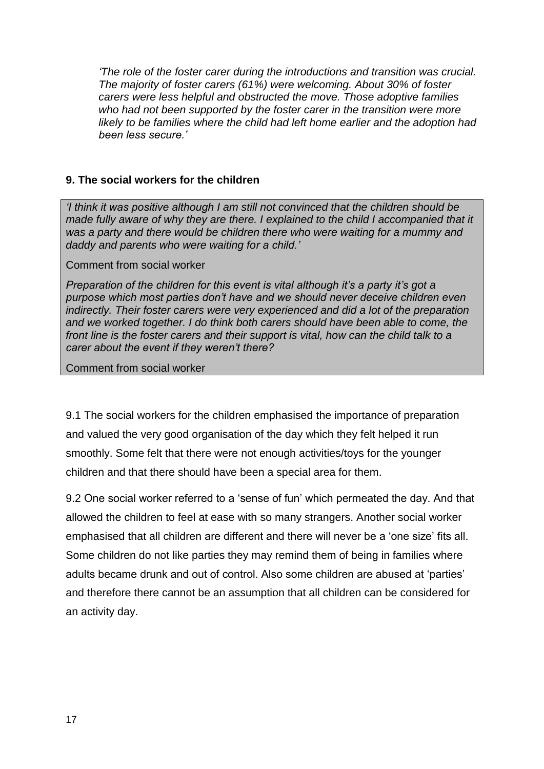*'The role of the foster carer during the introductions and transition was crucial. The majority of foster carers (61%) were welcoming. About 30% of foster carers were less helpful and obstructed the move. Those adoptive families who had not been supported by the foster carer in the transition were more likely to be families where the child had left home earlier and the adoption had been less secure.'*

#### **9. The social workers for the children**

*'I think it was positive although I am still not convinced that the children should be made fully aware of why they are there. I explained to the child I accompanied that it was a party and there would be children there who were waiting for a mummy and daddy and parents who were waiting for a child.'*

#### Comment from social worker

*Preparation of the children for this event is vital although it's a party it's got a purpose which most parties don't have and we should never deceive children even indirectly. Their foster carers were very experienced and did a lot of the preparation and we worked together. I do think both carers should have been able to come, the front line is the foster carers and their support is vital, how can the child talk to a carer about the event if they weren't there?*

Comment from social worker

9.1 The social workers for the children emphasised the importance of preparation and valued the very good organisation of the day which they felt helped it run smoothly. Some felt that there were not enough activities/toys for the younger children and that there should have been a special area for them.

9.2 One social worker referred to a 'sense of fun' which permeated the day. And that allowed the children to feel at ease with so many strangers. Another social worker emphasised that all children are different and there will never be a 'one size' fits all. Some children do not like parties they may remind them of being in families where adults became drunk and out of control. Also some children are abused at 'parties' and therefore there cannot be an assumption that all children can be considered for an activity day.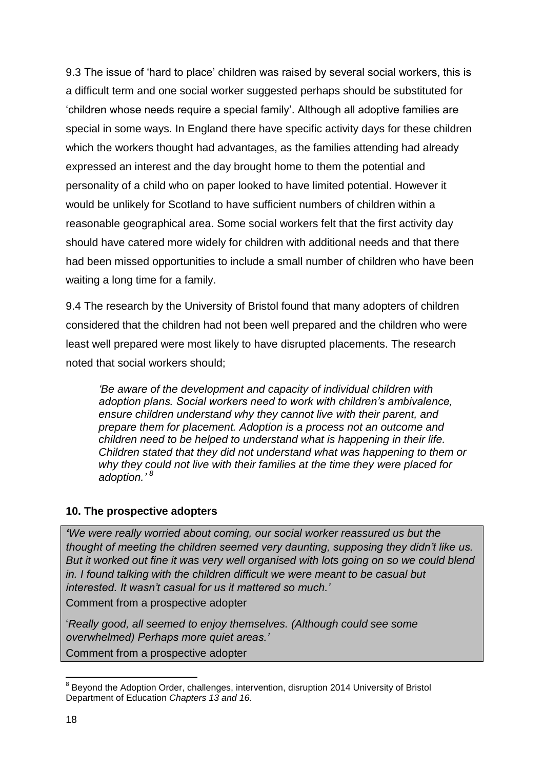9.3 The issue of 'hard to place' children was raised by several social workers, this is a difficult term and one social worker suggested perhaps should be substituted for 'children whose needs require a special family'. Although all adoptive families are special in some ways. In England there have specific activity days for these children which the workers thought had advantages, as the families attending had already expressed an interest and the day brought home to them the potential and personality of a child who on paper looked to have limited potential. However it would be unlikely for Scotland to have sufficient numbers of children within a reasonable geographical area. Some social workers felt that the first activity day should have catered more widely for children with additional needs and that there had been missed opportunities to include a small number of children who have been waiting a long time for a family.

9.4 The research by the University of Bristol found that many adopters of children considered that the children had not been well prepared and the children who were least well prepared were most likely to have disrupted placements. The research noted that social workers should;

*'Be aware of the development and capacity of individual children with adoption plans. Social workers need to work with children's ambivalence, ensure children understand why they cannot live with their parent, and prepare them for placement. Adoption is a process not an outcome and children need to be helped to understand what is happening in their life. Children stated that they did not understand what was happening to them or why they could not live with their families at the time they were placed for adoption.' 8*

## **10. The prospective adopters**

*'We were really worried about coming, our social worker reassured us but the thought of meeting the children seemed very daunting, supposing they didn't like us. But it worked out fine it was very well organised with lots going on so we could blend in. I found talking with the children difficult we were meant to be casual but interested. It wasn't casual for us it mattered so much.'*

Comment from a prospective adopter

'*Really good, all seemed to enjoy themselves. (Although could see some overwhelmed) Perhaps more quiet areas.'* Comment from a prospective adopter

 8 Beyond the Adoption Order, challenges, intervention, disruption 2014 University of Bristol Department of Education *Chapters 13 and 16.*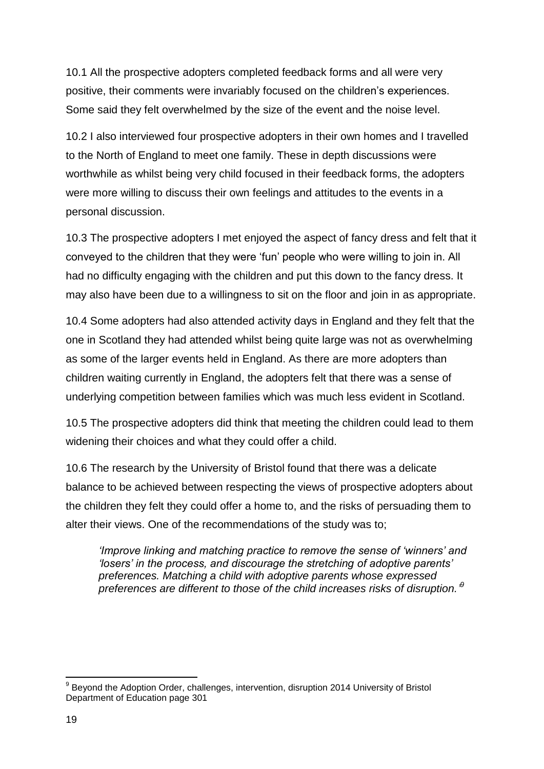10.1 All the prospective adopters completed feedback forms and all were very positive, their comments were invariably focused on the children's experiences. Some said they felt overwhelmed by the size of the event and the noise level.

10.2 I also interviewed four prospective adopters in their own homes and I travelled to the North of England to meet one family. These in depth discussions were worthwhile as whilst being very child focused in their feedback forms, the adopters were more willing to discuss their own feelings and attitudes to the events in a personal discussion.

10.3 The prospective adopters I met enjoyed the aspect of fancy dress and felt that it conveyed to the children that they were 'fun' people who were willing to join in. All had no difficulty engaging with the children and put this down to the fancy dress. It may also have been due to a willingness to sit on the floor and join in as appropriate.

10.4 Some adopters had also attended activity days in England and they felt that the one in Scotland they had attended whilst being quite large was not as overwhelming as some of the larger events held in England. As there are more adopters than children waiting currently in England, the adopters felt that there was a sense of underlying competition between families which was much less evident in Scotland.

10.5 The prospective adopters did think that meeting the children could lead to them widening their choices and what they could offer a child.

10.6 The research by the University of Bristol found that there was a delicate balance to be achieved between respecting the views of prospective adopters about the children they felt they could offer a home to, and the risks of persuading them to alter their views. One of the recommendations of the study was to;

*'Improve linking and matching practice to remove the sense of 'winners' and 'losers' in the process, and discourage the stretching of adoptive parents' preferences. Matching a child with adoptive parents whose expressed preferences are different to those of the child increases risks of disruption.' 9*

 9 Beyond the Adoption Order, challenges, intervention, disruption 2014 University of Bristol Department of Education page 301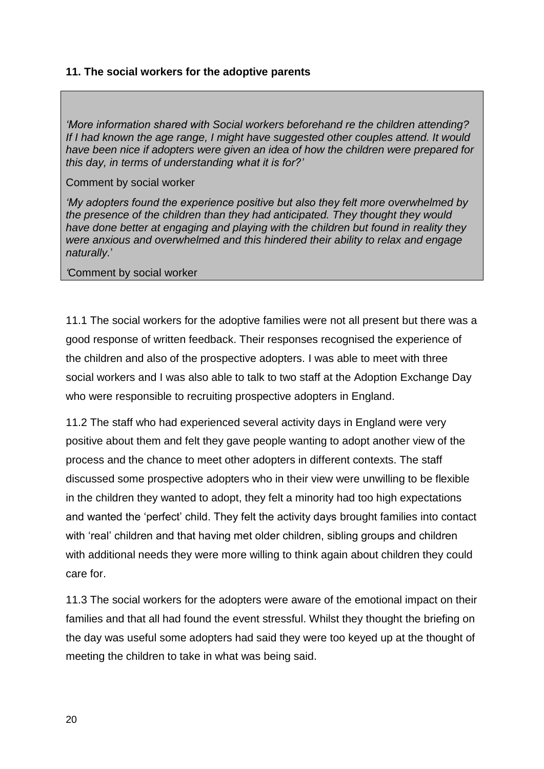### **11. The social workers for the adoptive parents**

*'More information shared with Social workers beforehand re the children attending? If I had known the age range, I might have suggested other couples attend. It would have been nice if adopters were given an idea of how the children were prepared for this day, in terms of understanding what it is for?'*

#### Comment by social worker

*'My adopters found the experience positive but also they felt more overwhelmed by the presence of the children than they had anticipated. They thought they would have done better at engaging and playing with the children but found in reality they were anxious and overwhelmed and this hindered their ability to relax and engage naturally.*'

*'*Comment by social worker

11.1 The social workers for the adoptive families were not all present but there was a good response of written feedback. Their responses recognised the experience of the children and also of the prospective adopters. I was able to meet with three social workers and I was also able to talk to two staff at the Adoption Exchange Day who were responsible to recruiting prospective adopters in England.

11.2 The staff who had experienced several activity days in England were very positive about them and felt they gave people wanting to adopt another view of the process and the chance to meet other adopters in different contexts. The staff discussed some prospective adopters who in their view were unwilling to be flexible in the children they wanted to adopt, they felt a minority had too high expectations and wanted the 'perfect' child. They felt the activity days brought families into contact with 'real' children and that having met older children, sibling groups and children with additional needs they were more willing to think again about children they could care for.

11.3 The social workers for the adopters were aware of the emotional impact on their families and that all had found the event stressful. Whilst they thought the briefing on the day was useful some adopters had said they were too keyed up at the thought of meeting the children to take in what was being said.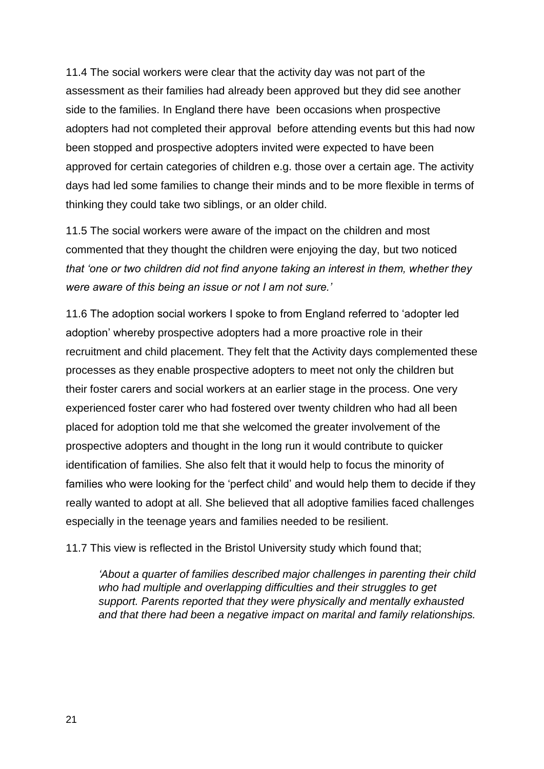11.4 The social workers were clear that the activity day was not part of the assessment as their families had already been approved but they did see another side to the families. In England there have been occasions when prospective adopters had not completed their approval before attending events but this had now been stopped and prospective adopters invited were expected to have been approved for certain categories of children e.g. those over a certain age. The activity days had led some families to change their minds and to be more flexible in terms of thinking they could take two siblings, or an older child.

11.5 The social workers were aware of the impact on the children and most commented that they thought the children were enjoying the day, but two noticed *that 'one or two children did not find anyone taking an interest in them, whether they were aware of this being an issue or not I am not sure.'*

11.6 The adoption social workers I spoke to from England referred to 'adopter led adoption' whereby prospective adopters had a more proactive role in their recruitment and child placement. They felt that the Activity days complemented these processes as they enable prospective adopters to meet not only the children but their foster carers and social workers at an earlier stage in the process. One very experienced foster carer who had fostered over twenty children who had all been placed for adoption told me that she welcomed the greater involvement of the prospective adopters and thought in the long run it would contribute to quicker identification of families. She also felt that it would help to focus the minority of families who were looking for the 'perfect child' and would help them to decide if they really wanted to adopt at all. She believed that all adoptive families faced challenges especially in the teenage years and families needed to be resilient.

11.7 This view is reflected in the Bristol University study which found that;

*'About a quarter of families described major challenges in parenting their child who had multiple and overlapping difficulties and their struggles to get support. Parents reported that they were physically and mentally exhausted and that there had been a negative impact on marital and family relationships.*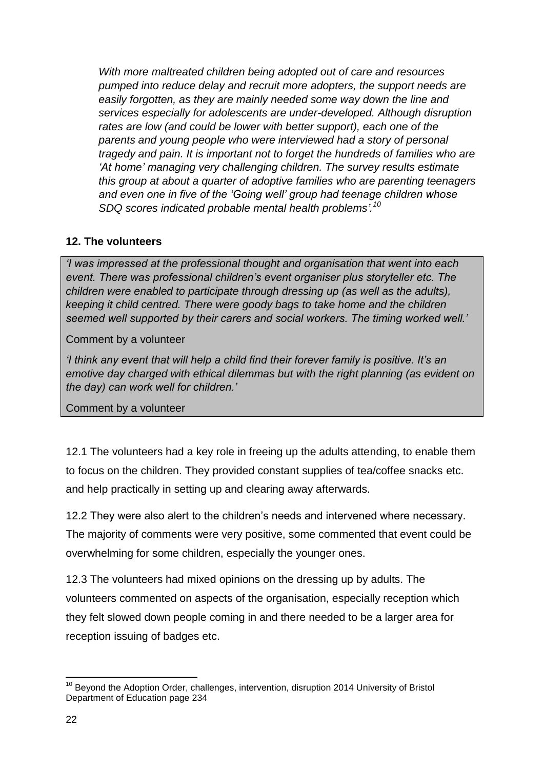*With more maltreated children being adopted out of care and resources pumped into reduce delay and recruit more adopters, the support needs are easily forgotten, as they are mainly needed some way down the line and services especially for adolescents are under-developed. Although disruption rates are low (and could be lower with better support), each one of the parents and young people who were interviewed had a story of personal tragedy and pain. It is important not to forget the hundreds of families who are 'At home' managing very challenging children. The survey results estimate this group at about a quarter of adoptive families who are parenting teenagers and even one in five of the 'Going well' group had teenage children whose SDQ scores indicated probable mental health problems'. 10*

## **12. The volunteers**

*'I was impressed at the professional thought and organisation that went into each event. There was professional children's event organiser plus storyteller etc. The children were enabled to participate through dressing up (as well as the adults), keeping it child centred. There were goody bags to take home and the children seemed well supported by their carers and social workers. The timing worked well.'*

Comment by a volunteer

*'I think any event that will help a child find their forever family is positive. It's an emotive day charged with ethical dilemmas but with the right planning (as evident on the day) can work well for children.'*

Comment by a volunteer

12.1 The volunteers had a key role in freeing up the adults attending, to enable them to focus on the children. They provided constant supplies of tea/coffee snacks etc. and help practically in setting up and clearing away afterwards.

12.2 They were also alert to the children's needs and intervened where necessary. The majority of comments were very positive, some commented that event could be overwhelming for some children, especially the younger ones.

12.3 The volunteers had mixed opinions on the dressing up by adults. The volunteers commented on aspects of the organisation, especially reception which they felt slowed down people coming in and there needed to be a larger area for reception issuing of badges etc.

**<sup>.</sup>** <sup>10</sup> Beyond the Adoption Order, challenges, intervention, disruption 2014 University of Bristol Department of Education page 234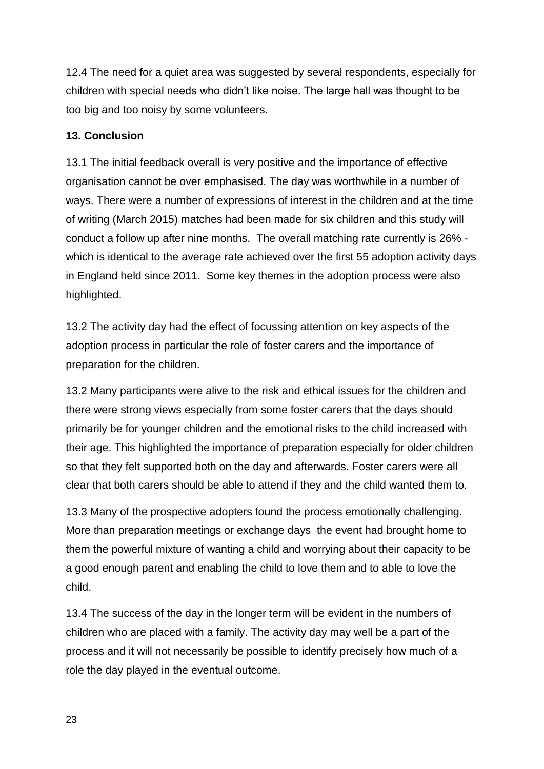12.4 The need for a quiet area was suggested by several respondents, especially for children with special needs who didn't like noise. The large hall was thought to be too big and too noisy by some volunteers.

#### **13. Conclusion**

13.1 The initial feedback overall is very positive and the importance of effective organisation cannot be over emphasised. The day was worthwhile in a number of ways. There were a number of expressions of interest in the children and at the time of writing (March 2015) matches had been made for six children and this study will conduct a follow up after nine months. The overall matching rate currently is 26% which is identical to the average rate achieved over the first 55 adoption activity days in England held since 2011. Some key themes in the adoption process were also highlighted.

13.2 The activity day had the effect of focussing attention on key aspects of the adoption process in particular the role of foster carers and the importance of preparation for the children.

13.2 Many participants were alive to the risk and ethical issues for the children and there were strong views especially from some foster carers that the days should primarily be for younger children and the emotional risks to the child increased with their age. This highlighted the importance of preparation especially for older children so that they felt supported both on the day and afterwards. Foster carers were all clear that both carers should be able to attend if they and the child wanted them to.

13.3 Many of the prospective adopters found the process emotionally challenging. More than preparation meetings or exchange days the event had brought home to them the powerful mixture of wanting a child and worrying about their capacity to be a good enough parent and enabling the child to love them and to able to love the child.

13.4 The success of the day in the longer term will be evident in the numbers of children who are placed with a family. The activity day may well be a part of the process and it will not necessarily be possible to identify precisely how much of a role the day played in the eventual outcome.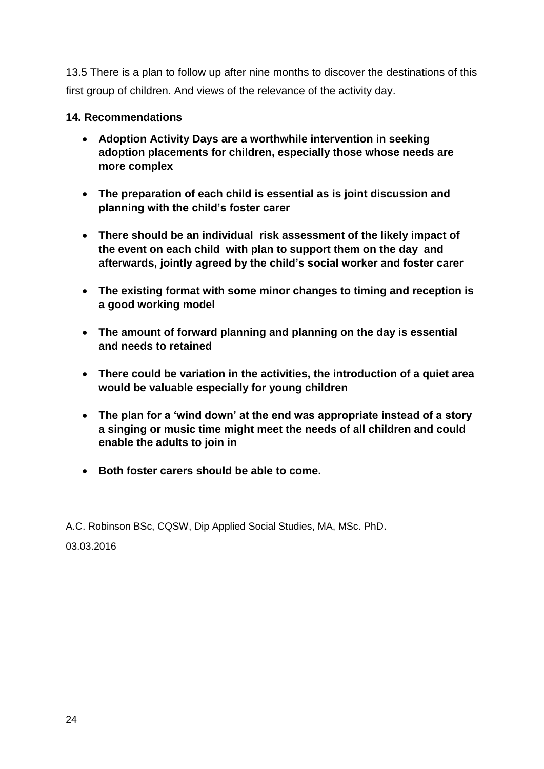13.5 There is a plan to follow up after nine months to discover the destinations of this first group of children. And views of the relevance of the activity day.

### **14. Recommendations**

- **Adoption Activity Days are a worthwhile intervention in seeking adoption placements for children, especially those whose needs are more complex**
- **The preparation of each child is essential as is joint discussion and planning with the child's foster carer**
- **There should be an individual risk assessment of the likely impact of the event on each child with plan to support them on the day and afterwards, jointly agreed by the child's social worker and foster carer**
- **The existing format with some minor changes to timing and reception is a good working model**
- **The amount of forward planning and planning on the day is essential and needs to retained**
- **There could be variation in the activities, the introduction of a quiet area would be valuable especially for young children**
- **The plan for a 'wind down' at the end was appropriate instead of a story a singing or music time might meet the needs of all children and could enable the adults to join in**
- **Both foster carers should be able to come.**

A.C. Robinson BSc, CQSW, Dip Applied Social Studies, MA, MSc. PhD. 03.03.2016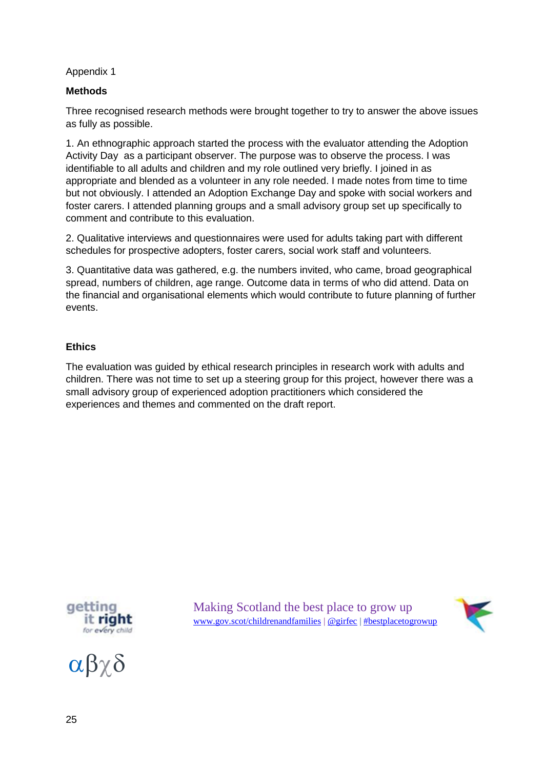#### Appendix 1

#### **Methods**

Three recognised research methods were brought together to try to answer the above issues as fully as possible.

1. An ethnographic approach started the process with the evaluator attending the Adoption Activity Day as a participant observer. The purpose was to observe the process. I was identifiable to all adults and children and my role outlined very briefly. I joined in as appropriate and blended as a volunteer in any role needed. I made notes from time to time but not obviously. I attended an Adoption Exchange Day and spoke with social workers and foster carers. I attended planning groups and a small advisory group set up specifically to comment and contribute to this evaluation.

2. Qualitative interviews and questionnaires were used for adults taking part with different schedules for prospective adopters, foster carers, social work staff and volunteers.

3. Quantitative data was gathered, e.g. the numbers invited, who came, broad geographical spread, numbers of children, age range. Outcome data in terms of who did attend. Data on the financial and organisational elements which would contribute to future planning of further events.

#### **Ethics**

The evaluation was guided by ethical research principles in research work with adults and children. There was not time to set up a steering group for this project, however there was a small advisory group of experienced adoption practitioners which considered the experiences and themes and commented on the draft report.



 $\alpha\beta\gamma\delta$ 

Making Scotland the best place to grow up [www.gov.scot/childrenandfamilies](http://www.gov.scot/childrenandfamilies) [| @girfec](http://twitter.com/girfec) | [#bestplacetogrowup](http://twitter.com/search?q=%23bestplacetogrowup)